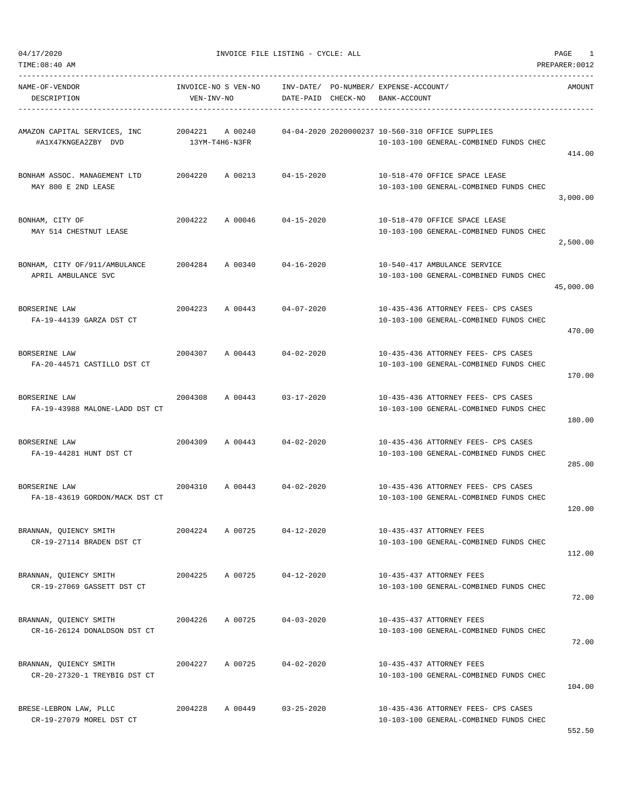TIME:08:40 AM PREPARER:0012

04/17/2020 INVOICE FILE LISTING - CYCLE: ALL PAGE 1

| NAME-OF-VENDOR<br>DESCRIPTION                          | VEN-INV-NO | INVOICE-NO S VEN-NO               | INV-DATE/ PO-NUMBER/ EXPENSE-ACCOUNT/<br>DATE-PAID CHECK-NO | BANK-ACCOUNT |                                                                                            | AMOUNT    |
|--------------------------------------------------------|------------|-----------------------------------|-------------------------------------------------------------|--------------|--------------------------------------------------------------------------------------------|-----------|
| AMAZON CAPITAL SERVICES, INC<br>#A1X47KNGEA2ZBY DVD    |            | 2004221 A 00240<br>13YM-T4H6-N3FR |                                                             |              | 04-04-2020 2020000237 10-560-310 OFFICE SUPPLIES<br>10-103-100 GENERAL-COMBINED FUNDS CHEC | 414.00    |
| BONHAM ASSOC. MANAGEMENT LTD<br>MAY 800 E 2ND LEASE    | 2004220    |                                   | A 00213 04-15-2020                                          |              | 10-518-470 OFFICE SPACE LEASE<br>10-103-100 GENERAL-COMBINED FUNDS CHEC                    | 3,000.00  |
| BONHAM, CITY OF<br>MAY 514 CHESTNUT LEASE              | 2004222    |                                   | A 00046 04-15-2020                                          |              | 10-518-470 OFFICE SPACE LEASE<br>10-103-100 GENERAL-COMBINED FUNDS CHEC                    | 2,500.00  |
| BONHAM, CITY OF/911/AMBULANCE<br>APRIL AMBULANCE SVC   |            | 2004284 A 00340                   | 04-16-2020                                                  |              | 10-540-417 AMBULANCE SERVICE<br>10-103-100 GENERAL-COMBINED FUNDS CHEC                     | 45,000.00 |
| <b>BORSERINE LAW</b><br>FA-19-44139 GARZA DST CT       |            |                                   | 2004223 A 00443 04-07-2020                                  |              | 10-435-436 ATTORNEY FEES- CPS CASES<br>10-103-100 GENERAL-COMBINED FUNDS CHEC              | 470.00    |
| BORSERINE LAW<br>FA-20-44571 CASTILLO DST CT           | 2004307    |                                   | A 00443 04-02-2020                                          |              | 10-435-436 ATTORNEY FEES- CPS CASES<br>10-103-100 GENERAL-COMBINED FUNDS CHEC              | 170.00    |
| BORSERINE LAW<br>FA-19-43988 MALONE-LADD DST CT        | 2004308    | A 00443                           | $03 - 17 - 2020$                                            |              | 10-435-436 ATTORNEY FEES- CPS CASES<br>10-103-100 GENERAL-COMBINED FUNDS CHEC              | 180.00    |
| BORSERINE LAW<br>FA-19-44281 HUNT DST CT               | 2004309    | A 00443                           | $04 - 02 - 2020$                                            |              | 10-435-436 ATTORNEY FEES- CPS CASES<br>10-103-100 GENERAL-COMBINED FUNDS CHEC              | 285.00    |
| BORSERINE LAW<br>FA-18-43619 GORDON/MACK DST CT        | 2004310    |                                   | A 00443 04-02-2020                                          |              | 10-435-436 ATTORNEY FEES- CPS CASES<br>10-103-100 GENERAL-COMBINED FUNDS CHEC              | 120.00    |
| BRANNAN, QUIENCY SMITH<br>CR-19-27114 BRADEN DST CT    | 2004224    | A 00725                           | $04 - 12 - 2020$                                            |              | 10-435-437 ATTORNEY FEES<br>10-103-100 GENERAL-COMBINED FUNDS CHEC                         | 112.00    |
| BRANNAN, QUIENCY SMITH<br>CR-19-27069 GASSETT DST CT   | 2004225    | A 00725                           | $04 - 12 - 2020$                                            |              | 10-435-437 ATTORNEY FEES<br>10-103-100 GENERAL-COMBINED FUNDS CHEC                         | 72.00     |
| BRANNAN, QUIENCY SMITH<br>CR-16-26124 DONALDSON DST CT | 2004226    | A 00725                           | $04 - 03 - 2020$                                            |              | 10-435-437 ATTORNEY FEES<br>10-103-100 GENERAL-COMBINED FUNDS CHEC                         | 72.00     |
| BRANNAN, QUIENCY SMITH<br>CR-20-27320-1 TREYBIG DST CT | 2004227    | A 00725                           | $04 - 02 - 2020$                                            |              | 10-435-437 ATTORNEY FEES<br>10-103-100 GENERAL-COMBINED FUNDS CHEC                         | 104.00    |
| BRESE-LEBRON LAW, PLLC<br>CR-19-27079 MOREL DST CT     | 2004228    | A 00449                           | $03 - 25 - 2020$                                            |              | 10-435-436 ATTORNEY FEES- CPS CASES<br>10-103-100 GENERAL-COMBINED FUNDS CHEC              |           |

552.50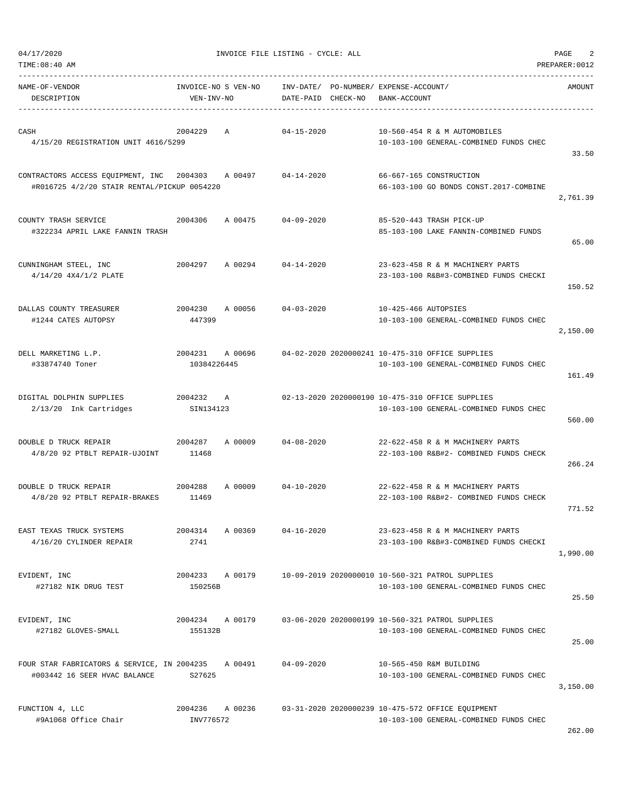| TIME:08:40 AM                                                                                    |                                   |                                 |                                                                                             | PREPARER: 0012 |
|--------------------------------------------------------------------------------------------------|-----------------------------------|---------------------------------|---------------------------------------------------------------------------------------------|----------------|
| NAME-OF-VENDOR<br>DESCRIPTION                                                                    | INVOICE-NO S VEN-NO<br>VEN-INV-NO | INV-DATE/<br>DATE-PAID CHECK-NO | PO-NUMBER/ EXPENSE-ACCOUNT/<br>BANK-ACCOUNT                                                 | AMOUNT         |
| CASH<br>4/15/20 REGISTRATION UNIT 4616/5299                                                      | 2004229<br>Α                      | $04 - 15 - 2020$                | 10-560-454 R & M AUTOMOBILES<br>10-103-100 GENERAL-COMBINED FUNDS CHEC                      | 33.50          |
| CONTRACTORS ACCESS EQUIPMENT, INC 2004303 A 00497<br>#R016725 4/2/20 STAIR RENTAL/PICKUP 0054220 |                                   | $04 - 14 - 2020$                | 66-667-165 CONSTRUCTION<br>66-103-100 GO BONDS CONST.2017-COMBINE                           | 2,761.39       |
| COUNTY TRASH SERVICE<br>#322234 APRIL LAKE FANNIN TRASH                                          | 2004306<br>A 00475                | $04 - 09 - 2020$                | 85-520-443 TRASH PICK-UP<br>85-103-100 LAKE FANNIN-COMBINED FUNDS                           | 65.00          |
| CUNNINGHAM STEEL, INC<br>$4/14/20$ $4X4/1/2$ PLATE                                               | 2004297 A 00294                   | $04 - 14 - 2020$                | 23-623-458 R & M MACHINERY PARTS<br>23-103-100 R&B#3-COMBINED FUNDS CHECKI                  | 150.52         |
| DALLAS COUNTY TREASURER<br>#1244 CATES AUTOPSY                                                   | 2004230<br>A 00056<br>447399      | $04 - 03 - 2020$                | 10-425-466 AUTOPSIES<br>10-103-100 GENERAL-COMBINED FUNDS CHEC                              | 2,150.00       |
| DELL MARKETING L.P.<br>#33874740 Toner                                                           | 2004231<br>A 00696<br>10384226445 |                                 | 04-02-2020 2020000241 10-475-310 OFFICE SUPPLIES<br>10-103-100 GENERAL-COMBINED FUNDS CHEC  | 161.49         |
| DIGITAL DOLPHIN SUPPLIES<br>2/13/20 Ink Cartridges                                               | 2004232 A<br>SIN134123            |                                 | 02-13-2020 2020000190 10-475-310 OFFICE SUPPLIES<br>10-103-100 GENERAL-COMBINED FUNDS CHEC  | 560.00         |
| DOUBLE D TRUCK REPAIR<br>4/8/20 92 PTBLT REPAIR-UJOINT                                           | 2004287<br>A 00009<br>11468       | $04 - 08 - 2020$                | 22-622-458 R & M MACHINERY PARTS<br>22-103-100 R&B#2- COMBINED FUNDS CHECK                  | 266.24         |
| DOUBLE D TRUCK REPAIR<br>4/8/20 92 PTBLT REPAIR-BRAKES                                           | 2004288<br>A 00009<br>11469       | $04 - 10 - 2020$                | 22-622-458 R & M MACHINERY PARTS<br>22-103-100 R&B#2- COMBINED FUNDS CHECK                  | 771.52         |
| EAST TEXAS TRUCK SYSTEMS<br>4/16/20 CYLINDER REPAIR                                              | 2004314<br>A 00369<br>2741        | $04 - 16 - 2020$                | 23-623-458 R & M MACHINERY PARTS<br>23-103-100 R&B#3-COMBINED FUNDS CHECKI                  | 1,990.00       |
| EVIDENT, INC<br>#27182 NIK DRUG TEST                                                             | 2004233 A 00179<br>150256B        |                                 | 10-09-2019 2020000010 10-560-321 PATROL SUPPLIES<br>10-103-100 GENERAL-COMBINED FUNDS CHEC  | 25.50          |
| EVIDENT, INC<br>#27182 GLOVES-SMALL                                                              | A 00179<br>2004234<br>155132B     |                                 | 03-06-2020 2020000199 10-560-321 PATROL SUPPLIES<br>10-103-100 GENERAL-COMBINED FUNDS CHEC  | 25.00          |
| FOUR STAR FABRICATORS & SERVICE, IN 2004235<br>#003442 16 SEER HVAC BALANCE                      | A 00491<br>S27625                 | $04 - 09 - 2020$                | 10-565-450 R&M BUILDING<br>10-103-100 GENERAL-COMBINED FUNDS CHEC                           | 3,150.00       |
| FUNCTION 4, LLC<br>#9A1068 Office Chair                                                          | 2004236 A 00236<br>INV776572      |                                 | 03-31-2020 2020000239 10-475-572 OFFICE EQUIPMENT<br>10-103-100 GENERAL-COMBINED FUNDS CHEC | 262.00         |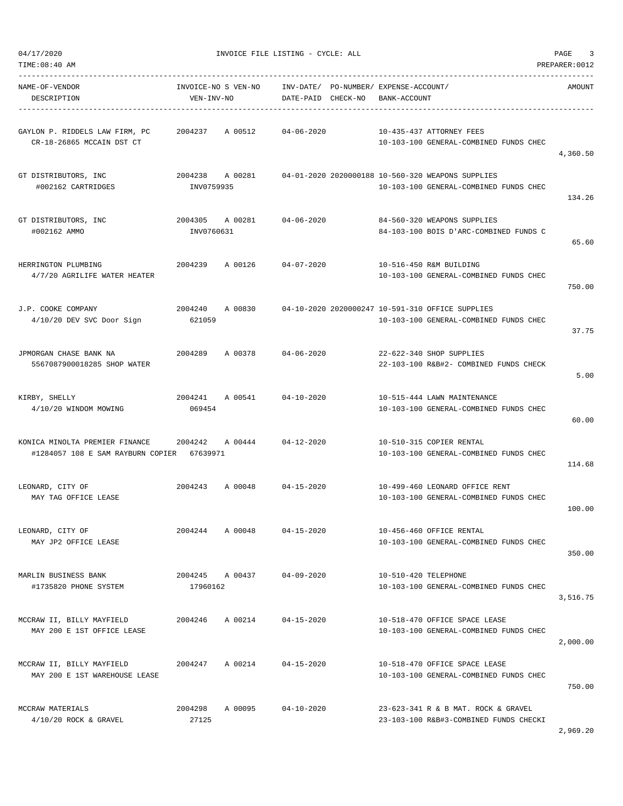$$ 

| TIME:08:40 AM                                                                        |                               |         |                                       |                      |                                                                                             | PREPARER: 0012 |
|--------------------------------------------------------------------------------------|-------------------------------|---------|---------------------------------------|----------------------|---------------------------------------------------------------------------------------------|----------------|
| NAME-OF-VENDOR                                                                       | INVOICE-NO S VEN-NO           |         | INV-DATE/ PO-NUMBER/ EXPENSE-ACCOUNT/ |                      |                                                                                             | AMOUNT         |
| DESCRIPTION                                                                          | VEN-INV-NO                    |         | DATE-PAID CHECK-NO                    | BANK-ACCOUNT         |                                                                                             |                |
| GAYLON P. RIDDELS LAW FIRM, PC<br>CR-18-26865 MCCAIN DST CT                          | 2004237                       | A 00512 | $04 - 06 - 2020$                      |                      | 10-435-437 ATTORNEY FEES<br>10-103-100 GENERAL-COMBINED FUNDS CHEC                          | 4,360.50       |
| GT DISTRIBUTORS, INC<br>#002162 CARTRIDGES                                           | 2004238 A 00281<br>INV0759935 |         |                                       |                      | 04-01-2020 2020000188 10-560-320 WEAPONS SUPPLIES<br>10-103-100 GENERAL-COMBINED FUNDS CHEC | 134.26         |
| GT DISTRIBUTORS, INC<br>#002162 AMMO                                                 | 2004305 A 00281<br>INV0760631 |         | 04-06-2020                            |                      | 84-560-320 WEAPONS SUPPLIES<br>84-103-100 BOIS D'ARC-COMBINED FUNDS C                       | 65.60          |
| HERRINGTON PLUMBING<br>4/7/20 AGRILIFE WATER HEATER                                  |                               |         | 2004239 A 00126 04-07-2020            |                      | 10-516-450 R&M BUILDING<br>10-103-100 GENERAL-COMBINED FUNDS CHEC                           | 750.00         |
| J.P. COOKE COMPANY<br>4/10/20 DEV SVC Door Sign                                      | 2004240<br>621059             | A 00830 |                                       |                      | 04-10-2020 2020000247 10-591-310 OFFICE SUPPLIES<br>10-103-100 GENERAL-COMBINED FUNDS CHEC  | 37.75          |
| JPMORGAN CHASE BANK NA<br>5567087900018285 SHOP WATER                                | 2004289                       | A 00378 | 04-06-2020                            |                      | 22-622-340 SHOP SUPPLIES<br>22-103-100 R&B#2- COMBINED FUNDS CHECK                          | 5.00           |
| KIRBY, SHELLY<br>4/10/20 WINDOM MOWING                                               | 2004241 A 00541<br>069454     |         | $04 - 10 - 2020$                      |                      | 10-515-444 LAWN MAINTENANCE<br>10-103-100 GENERAL-COMBINED FUNDS CHEC                       | 60.00          |
| KONICA MINOLTA PREMIER FINANCE 2004242<br>#1284057 108 E SAM RAYBURN COPIER 67639971 |                               |         | A 00444 04-12-2020                    |                      | 10-510-315 COPIER RENTAL<br>10-103-100 GENERAL-COMBINED FUNDS CHEC                          | 114.68         |
| LEONARD, CITY OF<br>MAY TAG OFFICE LEASE                                             |                               |         | 2004243 A 00048 04-15-2020            |                      | 10-499-460 LEONARD OFFICE RENT<br>10-103-100 GENERAL-COMBINED FUNDS CHEC                    | 100.00         |
| LEONARD, CITY OF<br>MAY JP2 OFFICE LEASE                                             | 2004244                       | A 00048 | $04 - 15 - 2020$                      |                      | 10-456-460 OFFICE RENTAL<br>10-103-100 GENERAL-COMBINED FUNDS CHEC                          | 350.00         |
| MARLIN BUSINESS BANK<br>#1735820 PHONE SYSTEM                                        | 2004245 A 00437<br>17960162   |         | $04 - 09 - 2020$                      | 10-510-420 TELEPHONE | 10-103-100 GENERAL-COMBINED FUNDS CHEC                                                      | 3,516.75       |
| MCCRAW II, BILLY MAYFIELD<br>MAY 200 E 1ST OFFICE LEASE                              | 2004246                       | A 00214 | $04 - 15 - 2020$                      |                      | 10-518-470 OFFICE SPACE LEASE<br>10-103-100 GENERAL-COMBINED FUNDS CHEC                     | 2,000.00       |
| MCCRAW II, BILLY MAYFIELD<br>MAY 200 E 1ST WAREHOUSE LEASE                           | 2004247                       | A 00214 | $04 - 15 - 2020$                      |                      | 10-518-470 OFFICE SPACE LEASE<br>10-103-100 GENERAL-COMBINED FUNDS CHEC                     | 750.00         |
| MCCRAW MATERIALS<br>$4/10/20$ ROCK & GRAVEL                                          | 2004298<br>27125              | A 00095 | $04 - 10 - 2020$                      |                      | 23-623-341 R & B MAT. ROCK & GRAVEL<br>23-103-100 R&B#3-COMBINED FUNDS CHECKI               |                |

2,969.20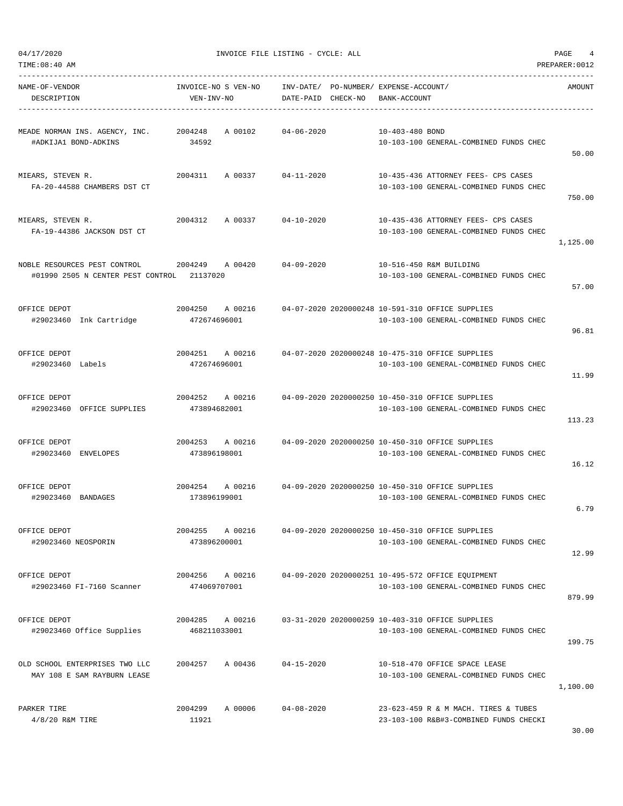| TIME:08:40 AM                                                              |                                    |                                                             |                                                                                                    | PREPARER: 0012 |
|----------------------------------------------------------------------------|------------------------------------|-------------------------------------------------------------|----------------------------------------------------------------------------------------------------|----------------|
| NAME-OF-VENDOR<br>DESCRIPTION                                              | INVOICE-NO S VEN-NO<br>VEN-INV-NO  | INV-DATE/ PO-NUMBER/ EXPENSE-ACCOUNT/<br>DATE-PAID CHECK-NO | BANK-ACCOUNT                                                                                       | AMOUNT         |
| MEADE NORMAN INS. AGENCY, INC. 2004248<br>#ADKIJA1 BOND-ADKINS             | A 00102<br>34592                   | 04-06-2020                                                  | 10-403-480 BOND<br>10-103-100 GENERAL-COMBINED FUNDS CHEC                                          | 50.00          |
| MIEARS, STEVEN R.<br>FA-20-44588 CHAMBERS DST CT                           | 2004311<br>A 00337 04-11-2020      |                                                             | 10-435-436 ATTORNEY FEES- CPS CASES<br>10-103-100 GENERAL-COMBINED FUNDS CHEC                      | 750.00         |
| MIEARS, STEVEN R.<br>FA-19-44386 JACKSON DST CT                            | 2004312<br>A 00337                 | 04-10-2020                                                  | 10-435-436 ATTORNEY FEES- CPS CASES<br>10-103-100 GENERAL-COMBINED FUNDS CHEC                      | 1,125.00       |
| NOBLE RESOURCES PEST CONTROL<br>#01990 2505 N CENTER PEST CONTROL 21137020 | 2004249 A00420                     | 04-09-2020                                                  | 10-516-450 R&M BUILDING<br>10-103-100 GENERAL-COMBINED FUNDS CHEC                                  | 57.00          |
| OFFICE DEPOT<br>#29023460 Ink Cartridge                                    | 2004250 A 00216<br>472674696001    |                                                             | 04-07-2020 2020000248 10-591-310 OFFICE SUPPLIES<br>10-103-100 GENERAL-COMBINED FUNDS CHEC         | 96.81          |
| OFFICE DEPOT<br>#29023460 Labels                                           | 2004251 A 00216<br>472674696001    |                                                             | 04-07-2020 2020000248 10-475-310 OFFICE SUPPLIES<br>10-103-100 GENERAL-COMBINED FUNDS CHEC         | 11.99          |
| OFFICE DEPOT<br>#29023460 OFFICE SUPPLIES                                  | 2004252 A 00216<br>473894682001    |                                                             | 04-09-2020 2020000250 10-450-310 OFFICE SUPPLIES<br>10-103-100 GENERAL-COMBINED FUNDS CHEC         | 113.23         |
| OFFICE DEPOT<br>#29023460 ENVELOPES                                        | 2004253 A 00216<br>473896198001    |                                                             | 04-09-2020 2020000250 10-450-310 OFFICE SUPPLIES<br>10-103-100 GENERAL-COMBINED FUNDS CHEC         | 16.12          |
| OFFICE DEPOT<br>#29023460 BANDAGES                                         | 2004254<br>173896199001            |                                                             | A 00216 04-09-2020 2020000250 10-450-310 OFFICE SUPPLIES<br>10-103-100 GENERAL-COMBINED FUNDS CHEC | 6.79           |
| OFFICE DEPOT<br>#29023460 NEOSPORIN                                        | 2004255 A 00216<br>473896200001    |                                                             | 04-09-2020 2020000250 10-450-310 OFFICE SUPPLIES<br>10-103-100 GENERAL-COMBINED FUNDS CHEC         | 12.99          |
| OFFICE DEPOT<br>#29023460 FI-7160 Scanner                                  | 2004256 A 00216<br>474069707001    |                                                             | 04-09-2020 2020000251 10-495-572 OFFICE EQUIPMENT<br>10-103-100 GENERAL-COMBINED FUNDS CHEC        | 879.99         |
| OFFICE DEPOT<br>#29023460 Office Supplies                                  | 2004285<br>A 00216<br>468211033001 |                                                             | 03-31-2020 2020000259 10-403-310 OFFICE SUPPLIES<br>10-103-100 GENERAL-COMBINED FUNDS CHEC         | 199.75         |
| OLD SCHOOL ENTERPRISES TWO LLC<br>MAY 108 E SAM RAYBURN LEASE              | 2004257<br>A 00436                 | $04 - 15 - 2020$                                            | 10-518-470 OFFICE SPACE LEASE<br>10-103-100 GENERAL-COMBINED FUNDS CHEC                            | 1,100.00       |
| PARKER TIRE<br>$4/8/20$ R&M TIRE                                           | 2004299<br>A 00006<br>11921        | $04 - 08 - 2020$                                            | 23-623-459 R & M MACH. TIRES & TUBES<br>23-103-100 R&B#3-COMBINED FUNDS CHECKI                     |                |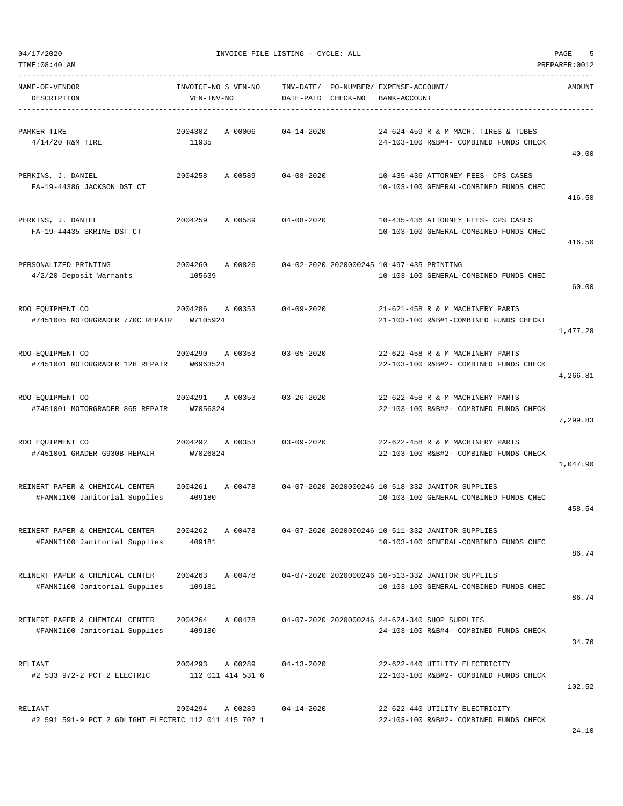|  | 04/17/2020 |
|--|------------|
|  |            |
|  |            |

| TIME:08:40 AM<br>PREPARER: 0012                                  |                                         |                                           |                                                                                             |          |  |  |
|------------------------------------------------------------------|-----------------------------------------|-------------------------------------------|---------------------------------------------------------------------------------------------|----------|--|--|
| NAME-OF-VENDOR<br>DESCRIPTION                                    | INVOICE-NO S VEN-NO<br>VEN-INV-NO       | INV-DATE/<br>CHECK-NO<br>DATE-PAID        | PO-NUMBER/ EXPENSE-ACCOUNT/<br>BANK-ACCOUNT                                                 | AMOUNT   |  |  |
| PARKER TIRE<br>$4/14/20$ R&M TIRE                                | 2004302<br>A 00006<br>11935             | $04 - 14 - 2020$                          | 24-624-459 R & M MACH. TIRES & TUBES<br>24-103-100 R&B#4- COMBINED FUNDS CHECK              | 40.00    |  |  |
| PERKINS, J. DANIEL<br>FA-19-44386 JACKSON DST CT                 | 2004258<br>A 00589                      | $04 - 08 - 2020$                          | 10-435-436 ATTORNEY FEES- CPS CASES<br>10-103-100 GENERAL-COMBINED FUNDS CHEC               | 416.50   |  |  |
| PERKINS, J. DANIEL<br>FA-19-44435 SKRINE DST CT                  | 2004259<br>A 00589                      | $04 - 08 - 2020$                          | 10-435-436 ATTORNEY FEES- CPS CASES<br>10-103-100 GENERAL-COMBINED FUNDS CHEC               | 416.50   |  |  |
| PERSONALIZED PRINTING<br>4/2/20 Deposit Warrants                 | A 00826<br>2004260<br>105639            | 04-02-2020 2020000245 10-497-435 PRINTING | 10-103-100 GENERAL-COMBINED FUNDS CHEC                                                      | 60.00    |  |  |
| RDO EQUIPMENT CO<br>#7451005 MOTORGRADER 770C REPAIR             | 2004286<br>A 00353<br>W7105924          | $04 - 09 - 2020$                          | 21-621-458 R & M MACHINERY PARTS<br>21-103-100 R&B#1-COMBINED FUNDS CHECKI                  | 1,477.28 |  |  |
| RDO EQUIPMENT CO<br>#7451001 MOTORGRADER 12H REPAIR              | 2004290<br>A 00353<br>W6963524          | $03 - 05 - 2020$                          | 22-622-458 R & M MACHINERY PARTS<br>22-103-100 R&B#2- COMBINED FUNDS CHECK                  | 4,266.81 |  |  |
| RDO EQUIPMENT CO<br>#7451001 MOTORGRADER 865 REPAIR              | 2004291<br>A 00353<br>W7056324          | $03 - 26 - 2020$                          | 22-622-458 R & M MACHINERY PARTS<br>22-103-100 R&B#2- COMBINED FUNDS CHECK                  | 7,299.83 |  |  |
| RDO EQUIPMENT CO<br>#7451001 GRADER G930B REPAIR                 | 2004292<br>A 00353<br>W7026824          | $03 - 09 - 2020$                          | 22-622-458 R & M MACHINERY PARTS<br>22-103-100 R&B#2- COMBINED FUNDS CHECK                  | 1,047.90 |  |  |
| REINERT PAPER & CHEMICAL CENTER<br>#FANNI100 Janitorial Supplies | 2004261<br>A 00478<br>409180            |                                           | 04-07-2020 2020000246 10-518-332 JANITOR SUPPLIES<br>10-103-100 GENERAL-COMBINED FUNDS CHEC | 458.54   |  |  |
| REINERT PAPER & CHEMICAL CENTER<br>#FANNI100 Janitorial Supplies | 2004262<br>A 00478<br>409181            |                                           | 04-07-2020 2020000246 10-511-332 JANITOR SUPPLIES<br>10-103-100 GENERAL-COMBINED FUNDS CHEC | 86.74    |  |  |
| REINERT PAPER & CHEMICAL CENTER<br>#FANNI100 Janitorial Supplies | A 00478<br>2004263<br>109181            |                                           | 04-07-2020 2020000246 10-513-332 JANITOR SUPPLIES<br>10-103-100 GENERAL-COMBINED FUNDS CHEC | 86.74    |  |  |
| REINERT PAPER & CHEMICAL CENTER<br>#FANNI100 Janitorial Supplies | 2004264<br>A 00478<br>409180            |                                           | 04-07-2020 2020000246 24-624-340 SHOP SUPPLIES<br>24-103-100 R&B#4- COMBINED FUNDS CHECK    | 34.76    |  |  |
| RELIANT<br>#2 533 972-2 PCT 2 ELECTRIC                           | 2004293<br>A 00289<br>112 011 414 531 6 | $04 - 13 - 2020$                          | 22-622-440 UTILITY ELECTRICITY<br>22-103-100 R&B#2- COMBINED FUNDS CHECK                    | 102.52   |  |  |
| RELIANT<br>#2 591 591-9 PCT 2 GDLIGHT ELECTRIC 112 011 415 707 1 | 2004294<br>A 00289                      | $04 - 14 - 2020$                          | 22-622-440 UTILITY ELECTRICITY<br>22-103-100 R&B#2- COMBINED FUNDS CHECK                    |          |  |  |

24.10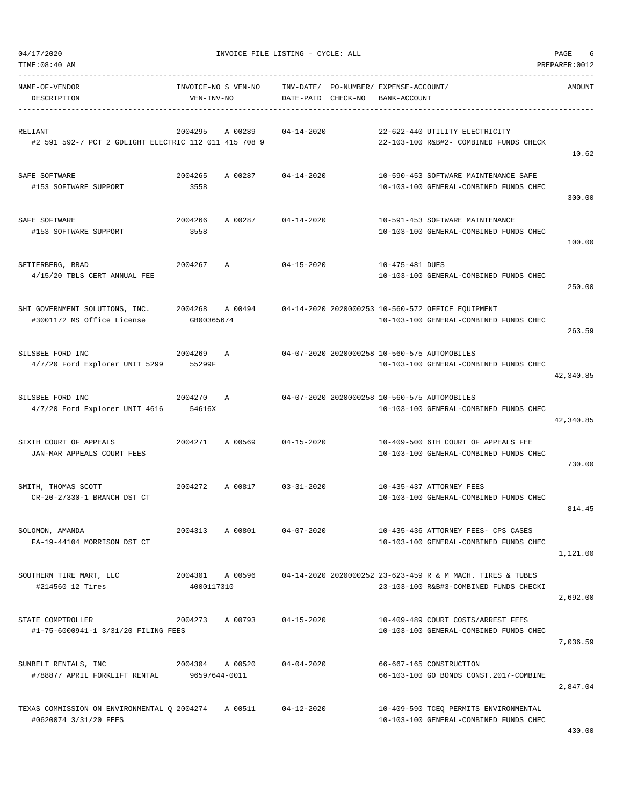| NAME-OF-VENDOR<br>DESCRIPTION                                                           | INVOICE-NO S VEN-NO<br>VEN-INV-NO |                            | INV-DATE/ PO-NUMBER/ EXPENSE-ACCOUNT/<br>DATE-PAID CHECK-NO | BANK-ACCOUNT    |                                                                                                                      | AMOUNT    |
|-----------------------------------------------------------------------------------------|-----------------------------------|----------------------------|-------------------------------------------------------------|-----------------|----------------------------------------------------------------------------------------------------------------------|-----------|
| RELIANT<br>#2 591 592-7 PCT 2 GDLIGHT ELECTRIC 112 011 415 708 9                        | 2004295                           | A 00289                    | $04 - 14 - 2020$                                            |                 | 22-622-440 UTILITY ELECTRICITY<br>22-103-100 R&B#2- COMBINED FUNDS CHECK                                             | 10.62     |
| SAFE SOFTWARE<br>#153 SOFTWARE SUPPORT                                                  | 2004265<br>3558                   | A 00287 04-14-2020         |                                                             |                 | 10-590-453 SOFTWARE MAINTENANCE SAFE<br>10-103-100 GENERAL-COMBINED FUNDS CHEC                                       | 300.00    |
| SAFE SOFTWARE<br>#153 SOFTWARE SUPPORT                                                  | 2004266<br>3558                   | A 00287                    | $04 - 14 - 2020$                                            |                 | 10-591-453 SOFTWARE MAINTENANCE<br>10-103-100 GENERAL-COMBINED FUNDS CHEC                                            | 100.00    |
| SETTERBERG, BRAD<br>4/15/20 TBLS CERT ANNUAL FEE                                        | 2004267                           | Α                          | $04 - 15 - 2020$                                            | 10-475-481 DUES | 10-103-100 GENERAL-COMBINED FUNDS CHEC                                                                               | 250.00    |
| SHI GOVERNMENT SOLUTIONS, INC.<br>#3001172 MS Office License                            | GB00365674                        |                            |                                                             |                 | 2004268 A 00494 04-14-2020 2020000253 10-560-572 OFFICE EOUIPMENT<br>10-103-100 GENERAL-COMBINED FUNDS CHEC          | 263.59    |
| SILSBEE FORD INC<br>4/7/20 Ford Explorer UNIT 5299 55299F                               | 2004269                           | $\mathbb{A}$               |                                                             |                 | 04-07-2020 2020000258 10-560-575 AUTOMOBILES<br>10-103-100 GENERAL-COMBINED FUNDS CHEC                               | 42,340.85 |
| SILSBEE FORD INC<br>4/7/20 Ford Explorer UNIT 4616                                      | 2004270 A<br>54616X               |                            |                                                             |                 | 04-07-2020 2020000258 10-560-575 AUTOMOBILES<br>10-103-100 GENERAL-COMBINED FUNDS CHEC                               | 42,340.85 |
| SIXTH COURT OF APPEALS<br>JAN-MAR APPEALS COURT FEES                                    |                                   | 2004271 A 00569 04-15-2020 |                                                             |                 | 10-409-500 6TH COURT OF APPEALS FEE<br>10-103-100 GENERAL-COMBINED FUNDS CHEC                                        | 730.00    |
| 2004272<br>SMITH, THOMAS SCOTT<br>CR-20-27330-1 BRANCH DST CT                           |                                   | A 00817 03-31-2020         |                                                             |                 | 10-435-437 ATTORNEY FEES<br>10-103-100 GENERAL-COMBINED FUNDS CHEC                                                   | 814.45    |
| SOLOMON, AMANDA<br>FA-19-44104 MORRISON DST CT                                          | 2004313                           | A 00801                    | $04 - 07 - 2020$                                            |                 | 10-435-436 ATTORNEY FEES- CPS CASES<br>10-103-100 GENERAL-COMBINED FUNDS CHEC                                        | 1,121.00  |
| SOUTHERN TIRE MART, LLC<br>#214560 12 Tires                                             | 4000117310                        |                            |                                                             |                 | 2004301 A 00596 04-14-2020 2020000252 23-623-459 R & M MACH. TIRES & TUBES<br>23-103-100 R&B#3-COMBINED FUNDS CHECKI | 2,692.00  |
| STATE COMPTROLLER<br>#1-75-6000941-1 3/31/20 FILING FEES                                | 2004273 A 00793                   |                            | $04 - 15 - 2020$                                            |                 | 10-409-489 COURT COSTS/ARREST FEES<br>10-103-100 GENERAL-COMBINED FUNDS CHEC                                         | 7,036.59  |
| SUNBELT RENTALS, INC<br>#788877 APRIL FORKLIFT RENTAL                                   | 96597644-0011                     | 2004304 A 00520 04-04-2020 |                                                             |                 | 66-667-165 CONSTRUCTION<br>66-103-100 GO BONDS CONST.2017-COMBINE                                                    | 2,847.04  |
| TEXAS COMMISSION ON ENVIRONMENTAL Q 2004274 A 00511 04-12-2020<br>#0620074 3/31/20 FEES |                                   |                            |                                                             |                 | 10-409-590 TCEQ PERMITS ENVIRONMENTAL<br>10-103-100 GENERAL-COMBINED FUNDS CHEC                                      |           |

TIME:08:40 AM PREPARER:0012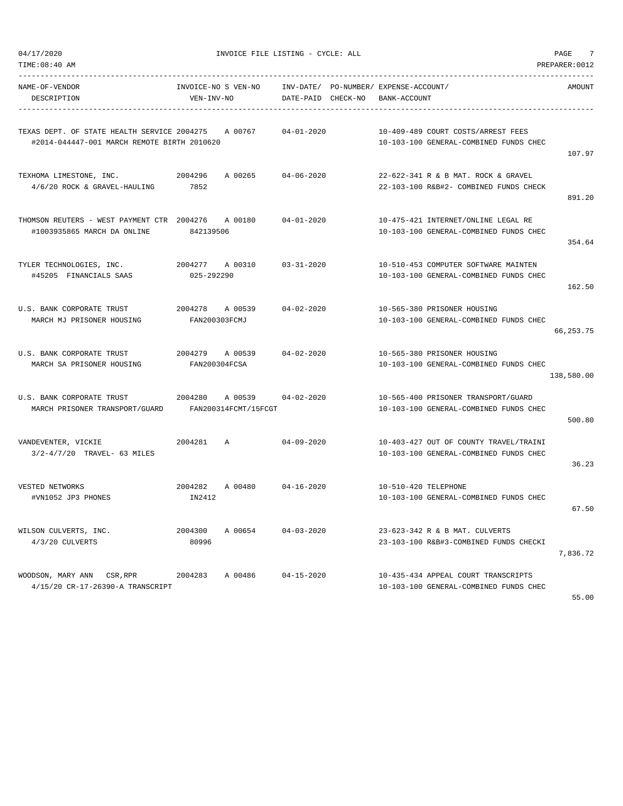$04/17/2020$  PAGE  $7$ 

| TIME:08:40 AM                                                                                      |                                   |                                                    |                    |                                                                                  | PREPARER: 0012 |
|----------------------------------------------------------------------------------------------------|-----------------------------------|----------------------------------------------------|--------------------|----------------------------------------------------------------------------------|----------------|
| NAME-OF-VENDOR<br>DESCRIPTION                                                                      | INVOICE-NO S VEN-NO<br>VEN-INV-NO |                                                    | DATE-PAID CHECK-NO | INV-DATE/ PO-NUMBER/ EXPENSE-ACCOUNT/<br>BANK-ACCOUNT                            | AMOUNT         |
| TEXAS DEPT. OF STATE HEALTH SERVICE 2004275 A 00767<br>#2014-044447-001 MARCH REMOTE BIRTH 2010620 |                                   |                                                    | $04 - 01 - 2020$   | 10-409-489 COURT COSTS/ARREST FEES<br>10-103-100 GENERAL-COMBINED FUNDS CHEC     | 107.97         |
| 4/6/20 ROCK & GRAVEL-HAULING                                                                       | 7852                              |                                                    |                    | 22-622-341 R & B MAT. ROCK & GRAVEL<br>22-103-100 R&B#2- COMBINED FUNDS CHECK    | 891.20         |
| THOMSON REUTERS - WEST PAYMENT CTR 2004276<br>#1003935865 MARCH DA ONLINE                          | 842139506                         | A 00180                                            | 04-01-2020         | 10-475-421 INTERNET/ONLINE LEGAL RE<br>10-103-100 GENERAL-COMBINED FUNDS CHEC    | 354.64         |
| TYLER TECHNOLOGIES, INC.<br>#45205 FINANCIALS SAAS                                                 | 2004277 A00310<br>025-292290      |                                                    | $03 - 31 - 2020$   | 10-510-453 COMPUTER SOFTWARE MAINTEN<br>10-103-100 GENERAL-COMBINED FUNDS CHEC   | 162.50         |
| MARCH MJ PRISONER HOUSING                                                                          | FAN200303FCMJ                     |                                                    | $04 - 02 - 2020$   | 10-565-380 PRISONER HOUSING<br>10-103-100 GENERAL-COMBINED FUNDS CHEC            | 66,253.75      |
| U.S. BANK CORPORATE TRUST<br>MARCH SA PRISONER HOUSING                                             | FAN200304FCSA                     | 2004279 A 00539                                    | 04-02-2020         | 10-565-380 PRISONER HOUSING<br>10-103-100 GENERAL-COMBINED FUNDS CHEC            | 138,580.00     |
| U.S. BANK CORPORATE TRUST<br>MARCH PRISONER TRANSPORT/GUARD                                        |                                   | 2004280 A 00539 04-02-2020<br>FAN200314FCMT/15FCGT |                    | 10-565-400 PRISONER TRANSPORT/GUARD<br>10-103-100 GENERAL-COMBINED FUNDS CHEC    | 500.80         |
| VANDEVENTER, VICKIE<br>$3/2 - 4/7/20$ TRAVEL- 63 MILES                                             | 2004281                           | <b>A</b>                                           | 04-09-2020         | 10-403-427 OUT OF COUNTY TRAVEL/TRAINI<br>10-103-100 GENERAL-COMBINED FUNDS CHEC | 36.23          |
| VESTED NETWORKS<br>#VN1052 JP3 PHONES                                                              | 2004282<br>IN2412                 | A 00480 04-16-2020                                 |                    | 10-510-420 TELEPHONE<br>10-103-100 GENERAL-COMBINED FUNDS CHEC                   | 67.50          |
| WILSON CULVERTS, INC.<br>4/3/20 CULVERTS                                                           | 2004300<br>80996                  | A 00654                                            | $04 - 03 - 2020$   | 23-623-342 R & B MAT. CULVERTS<br>23-103-100 R&B#3-COMBINED FUNDS CHECKI         | 7,836.72       |
| WOODSON, MARY ANN CSR, RPR<br>4/15/20 CR-17-26390-A TRANSCRIPT                                     | 2004283                           | A 00486                                            | $04 - 15 - 2020$   | 10-435-434 APPEAL COURT TRANSCRIPTS<br>10-103-100 GENERAL-COMBINED FUNDS CHEC    |                |

55.00